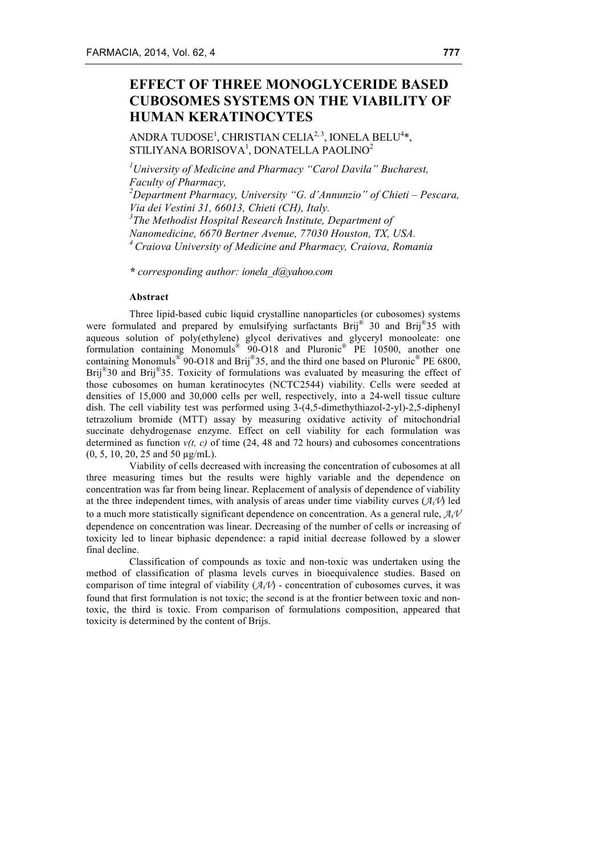# **EFFECT OF THREE MONOGLYCERIDE BASED CUBOSOMES SYSTEMS ON THE VIABILITY OF HUMAN KERATINOCYTES**

ANDRA TUDOSE<sup>1</sup>, CHRISTIAN CELIA<sup>2, 3</sup>, IONELA BELU<sup>4</sup>\*, STILIYANA BORISOVA<sup>1</sup>, DONATELLA PAOLINO<sup>2</sup>

*1 University of Medicine and Pharmacy "Carol Davila" Bucharest, Faculty of Pharmacy,*

*2 Department Pharmacy, University "G. d'Annunzio" of Chieti – Pescara, Via dei Vestini 31, 66013, Chieti (CH), Italy. 3 The Methodist Hospital Research Institute, Department of Nanomedicine, 6670 Bertner Avenue, 77030 Houston, TX, USA.*

*4 Craiova University of Medicine and Pharmacy, Craiova, Romania*

*\* corresponding author: ionela\_d@yahoo.com*

#### **Abstract**

Three lipid-based cubic liquid crystalline nanoparticles (or cubosomes) systems were formulated and prepared by emulsifying surfactants Brij® 30 and Brij®35 with aqueous solution of poly(ethylene) glycol derivatives and glyceryl monooleate: one formulation containing Monomuls® 90-O18 and Pluronic® PE 10500, another one containing Monomuls<sup>®</sup> 90-O18 and Brij<sup>®</sup>35, and the third one based on Pluronic<sup>®</sup> PE 6800, Brij<sup>®</sup>30 and Brij<sup>®</sup>35. Toxicity of formulations was evaluated by measuring the effect of those cubosomes on human keratinocytes (NCTC2544) viability. Cells were seeded at densities of 15,000 and 30,000 cells per well, respectively, into a 24-well tissue culture dish. The cell viability test was performed using 3-(4,5-dimethythiazol-2-yl)-2,5-diphenyl tetrazolium bromide (MTT) assay by measuring oxidative activity of mitochondrial succinate dehydrogenase enzyme. Effect on cell viability for each formulation was determined as function *v(t, c)* of time (24, 48 and 72 hours) and cubosomes concentrations (0, 5, 10, 20, 25 and 50 µg/mL).

Viability of cells decreased with increasing the concentration of cubosomes at all three measuring times but the results were highly variable and the dependence on concentration was far from being linear. Replacement of analysis of dependence of viability at the three independent times, with analysis of areas under time viability curves  $(\mathcal{A}_t V)$  led to a much more statistically significant dependence on concentration. As a general rule, *AtV* dependence on concentration was linear. Decreasing of the number of cells or increasing of toxicity led to linear biphasic dependence: a rapid initial decrease followed by a slower final decline.

Classification of compounds as toxic and non-toxic was undertaken using the method of classification of plasma levels curves in bioequivalence studies. Based on comparison of time integral of viability  $(\mathcal{A}_t V)$  - concentration of cubosomes curves, it was found that first formulation is not toxic; the second is at the frontier between toxic and nontoxic, the third is toxic. From comparison of formulations composition, appeared that toxicity is determined by the content of Brijs.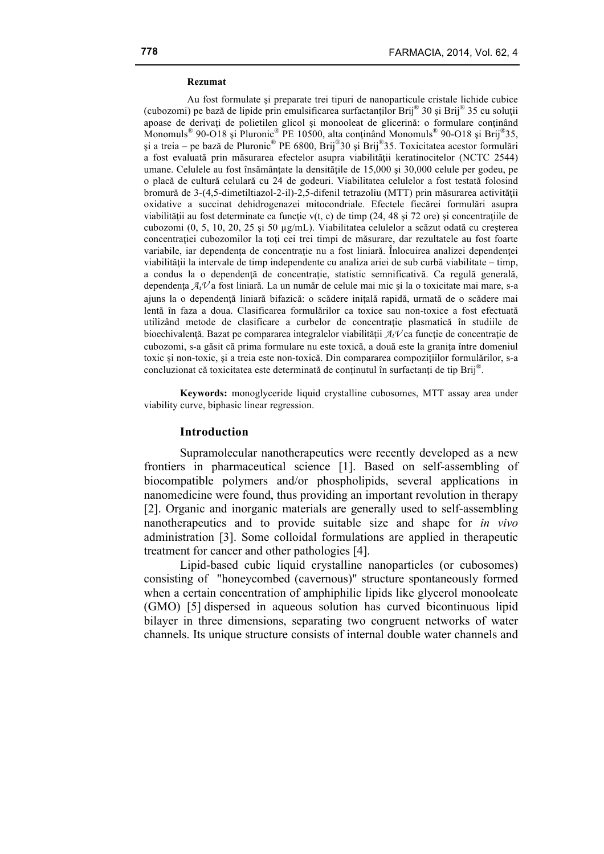#### **Rezumat**

Au fost formulate şi preparate trei tipuri de nanoparticule cristale lichide cubice (cubozomi) pe bază de lipide prin emulsificarea surfactanților Brij<sup>®</sup> 30 și Brij<sup>®</sup> 35 cu soluții apoase de derivati de polietilen glicol și monooleat de glicerină: o formulare continând Monomuls<sup>®</sup> 90-O18 și Pluronic<sup>®</sup> PE 10500, alta continând Monomuls<sup>®</sup> 90-O18 și Brij®35, şi a treia – pe bază de Pluronic® PE 6800, Brij®30 şi Brij®35. Toxicitatea acestor formulări a fost evaluată prin măsurarea efectelor asupra viabilităţii keratinocitelor (NCTC 2544) umane. Celulele au fost însămânţate la densităţile de 15,000 şi 30,000 celule per godeu, pe o placă de cultură celulară cu 24 de godeuri. Viabilitatea celulelor a fost testată folosind bromură de 3-(4,5-dimetiltiazol-2-il)-2,5-difenil tetrazoliu (MTT) prin măsurarea activităţii oxidative a succinat dehidrogenazei mitocondriale. Efectele fiecărei formulări asupra viabilității au fost determinate ca funcție v(t, c) de timp  $(24, 48 \text{ și } 72 \text{ ore})$  și concentrațiile de cubozomi (0, 5, 10, 20, 25 şi 50 µg/mL). Viabilitatea celulelor a scăzut odată cu creşterea concentratiei cubozomilor la toti cei trei timpi de măsurare, dar rezultatele au fost foarte variabile, iar dependența de concentrație nu a fost liniară. Înlocuirea analizei dependenței viabilității la intervale de timp independente cu analiza ariei de sub curbă viabilitate – timp, a condus la o dependenţă de concentraţie, statistic semnificativă. Ca regulă generală, dependența  $A_t$ V a fost liniară. La un număr de celule mai mic și la o toxicitate mai mare, s-a ajuns la o dependenţă liniară bifazică: o scădere iniţală rapidă, urmată de o scădere mai lentă în faza a doua. Clasificarea formulărilor ca toxice sau non-toxice a fost efectuată utilizând metode de clasificare a curbelor de concentratie plasmatică în studiile de bioechivalență. Bazat pe compararea integralelor viabilității  $A_t V$  ca funcție de concentrație de cubozomi, s-a găsit că prima formulare nu este toxică, a două este la graniţa între domeniul toxic şi non-toxic, şi a treia este non-toxică. Din compararea compoziţiilor formulărilor, s-a concluzionat că toxicitatea este determinată de conținutul în surfactanți de tip Brij®.

**Keywords:** monoglyceride liquid crystalline cubosomes, MTT assay area under viability curve, biphasic linear regression.

# **Introduction**

Supramolecular nanotherapeutics were recently developed as a new frontiers in pharmaceutical science [1]. Based on self-assembling of biocompatible polymers and/or phospholipids, several applications in nanomedicine were found, thus providing an important revolution in therapy [2]. Organic and inorganic materials are generally used to self-assembling nanotherapeutics and to provide suitable size and shape for *in vivo* administration [3]. Some colloidal formulations are applied in therapeutic treatment for cancer and other pathologies [4].

Lipid-based cubic liquid crystalline nanoparticles (or cubosomes) consisting of "honeycombed (cavernous)" structure spontaneously formed when a certain concentration of amphiphilic lipids like glycerol monooleate (GMO) [5] dispersed in aqueous solution has curved bicontinuous lipid bilayer in three dimensions, separating two congruent networks of water channels. Its unique structure consists of internal double water channels and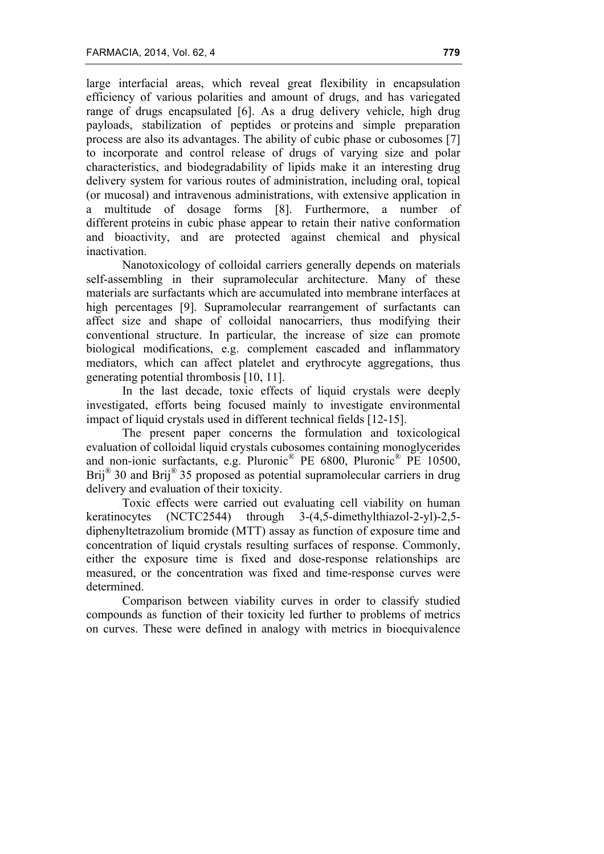large interfacial areas, which reveal great flexibility in encapsulation efficiency of various polarities and amount of drugs, and has variegated range of drugs encapsulated [6]. As a drug delivery vehicle, high drug payloads, stabilization of peptides or proteins and simple preparation process are also its advantages. The ability of cubic phase or cubosomes [7] to incorporate and control release of drugs of varying size and polar characteristics, and biodegradability of lipids make it an interesting drug delivery system for various routes of administration, including oral, topical (or mucosal) and intravenous administrations, with extensive application in a multitude of dosage forms [8]. Furthermore, a number of different proteins in cubic phase appear to retain their native conformation and bioactivity, and are protected against chemical and physical inactivation.

Nanotoxicology of colloidal carriers generally depends on materials self-assembling in their supramolecular architecture. Many of these materials are surfactants which are accumulated into membrane interfaces at high percentages [9]. Supramolecular rearrangement of surfactants can affect size and shape of colloidal nanocarriers, thus modifying their conventional structure. In particular, the increase of size can promote biological modifications, e.g. complement cascaded and inflammatory mediators, which can affect platelet and erythrocyte aggregations, thus generating potential thrombosis [10, 11].

In the last decade, toxic effects of liquid crystals were deeply investigated, efforts being focused mainly to investigate environmental impact of liquid crystals used in different technical fields [12-15].

The present paper concerns the formulation and toxicological evaluation of colloidal liquid crystals cubosomes containing monoglycerides and non-ionic surfactants, e.g. Pluronic® PE 6800, Pluronic® PE 10500, Brij<sup>®</sup> 30 and Brij<sup>®</sup> 35 proposed as potential supramolecular carriers in drug delivery and evaluation of their toxicity.

Toxic effects were carried out evaluating cell viability on human keratinocytes (NCTC2544) through 3-(4,5-dimethylthiazol-2-yl)-2,5 diphenyltetrazolium bromide (MTT) assay as function of exposure time and concentration of liquid crystals resulting surfaces of response. Commonly, either the exposure time is fixed and dose-response relationships are measured, or the concentration was fixed and time-response curves were determined.

Comparison between viability curves in order to classify studied compounds as function of their toxicity led further to problems of metrics on curves. These were defined in analogy with metrics in bioequivalence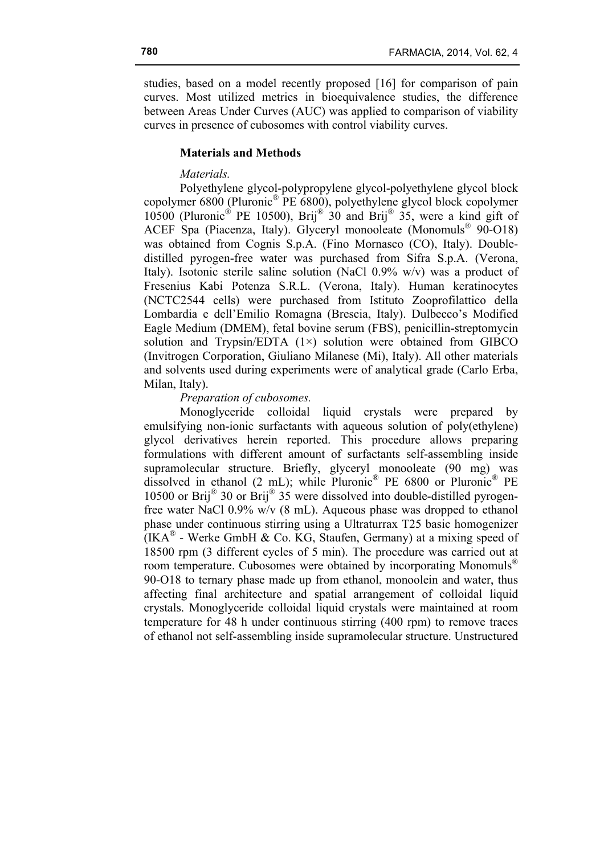studies, based on a model recently proposed [16] for comparison of pain curves. Most utilized metrics in bioequivalence studies, the difference between Areas Under Curves (AUC) was applied to comparison of viability curves in presence of cubosomes with control viability curves.

# **Materials and Methods**

### *Materials.*

Polyethylene glycol-polypropylene glycol-polyethylene glycol block copolymer 6800 (Pluronic® PE 6800), polyethylene glycol block copolymer 10500 (Pluronic<sup>®</sup> PE 10500), Brij<sup>®</sup> 30 and Brij<sup>®</sup> 35, were a kind gift of ACEF Spa (Piacenza, Italy). Glyceryl monooleate (Monomuls® 90-O18) was obtained from Cognis S.p.A. (Fino Mornasco (CO), Italy). Doubledistilled pyrogen-free water was purchased from Sifra S.p.A. (Verona, Italy). Isotonic sterile saline solution (NaCl 0.9% w/v) was a product of Fresenius Kabi Potenza S.R.L. (Verona, Italy). Human keratinocytes (NCTC2544 cells) were purchased from Istituto Zooprofilattico della Lombardia e dell'Emilio Romagna (Brescia, Italy). Dulbecco's Modified Eagle Medium (DMEM), fetal bovine serum (FBS), penicillin-streptomycin solution and Trypsin/EDTA  $(1\times)$  solution were obtained from GIBCO (Invitrogen Corporation, Giuliano Milanese (Mi), Italy). All other materials and solvents used during experiments were of analytical grade (Carlo Erba, Milan, Italy).

# *Preparation of cubosomes.*

Monoglyceride colloidal liquid crystals were prepared by emulsifying non-ionic surfactants with aqueous solution of poly(ethylene) glycol derivatives herein reported. This procedure allows preparing formulations with different amount of surfactants self-assembling inside supramolecular structure. Briefly, glyceryl monooleate (90 mg) was dissolved in ethanol (2 mL); while Pluronic<sup>®</sup> PE 6800 or Pluronic<sup>®</sup> PE 10500 or Brij® 30 or Brij® 35 were dissolved into double-distilled pyrogenfree water NaCl 0.9% w/v (8 mL). Aqueous phase was dropped to ethanol phase under continuous stirring using a Ultraturrax T25 basic homogenizer  $(IKA^{\otimes}$  - Werke GmbH & Co. KG, Staufen, Germany) at a mixing speed of 18500 rpm (3 different cycles of 5 min). The procedure was carried out at room temperature. Cubosomes were obtained by incorporating Monomuls<sup>®</sup> 90-O18 to ternary phase made up from ethanol, monoolein and water, thus affecting final architecture and spatial arrangement of colloidal liquid crystals. Monoglyceride colloidal liquid crystals were maintained at room temperature for 48 h under continuous stirring (400 rpm) to remove traces of ethanol not self-assembling inside supramolecular structure. Unstructured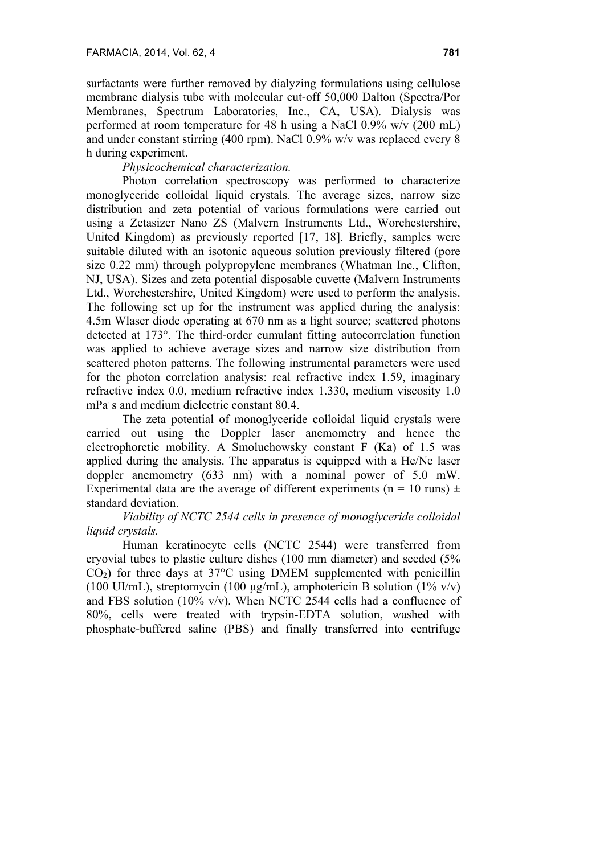surfactants were further removed by dialyzing formulations using cellulose membrane dialysis tube with molecular cut-off 50,000 Dalton (Spectra/Por Membranes, Spectrum Laboratories, Inc., CA, USA). Dialysis was performed at room temperature for 48 h using a NaCl 0.9% w/v (200 mL) and under constant stirring (400 rpm). NaCl 0.9% w/v was replaced every 8 h during experiment.

# *Physicochemical characterization.*

Photon correlation spectroscopy was performed to characterize monoglyceride colloidal liquid crystals. The average sizes, narrow size distribution and zeta potential of various formulations were carried out using a Zetasizer Nano ZS (Malvern Instruments Ltd., Worchestershire, United Kingdom) as previously reported [17, 18]. Briefly, samples were suitable diluted with an isotonic aqueous solution previously filtered (pore size 0.22 mm) through polypropylene membranes (Whatman Inc., Clifton, NJ, USA). Sizes and zeta potential disposable cuvette (Malvern Instruments Ltd., Worchestershire, United Kingdom) were used to perform the analysis. The following set up for the instrument was applied during the analysis: 4.5m Wlaser diode operating at 670 nm as a light source; scattered photons detected at 173°. The third-order cumulant fitting autocorrelation function was applied to achieve average sizes and narrow size distribution from scattered photon patterns. The following instrumental parameters were used for the photon correlation analysis: real refractive index 1.59, imaginary refractive index 0.0, medium refractive index 1.330, medium viscosity 1.0 mPa s and medium dielectric constant 80.4.

The zeta potential of monoglyceride colloidal liquid crystals were carried out using the Doppler laser anemometry and hence the electrophoretic mobility. A Smoluchowsky constant F (Ka) of 1.5 was applied during the analysis. The apparatus is equipped with a He/Ne laser doppler anemometry (633 nm) with a nominal power of 5.0 mW. Experimental data are the average of different experiments ( $n = 10$  runs)  $\pm$ standard deviation.

# *Viability of NCTC 2544 cells in presence of monoglyceride colloidal liquid crystals.*

Human keratinocyte cells (NCTC 2544) were transferred from cryovial tubes to plastic culture dishes (100 mm diameter) and seeded (5%  $CO<sub>2</sub>$ ) for three days at 37 $\degree$ C using DMEM supplemented with penicillin (100 UI/mL), streptomycin (100  $\mu$ g/mL), amphotericin B solution (1% v/v) and FBS solution (10% v/v). When NCTC 2544 cells had a confluence of 80%, cells were treated with trypsin-EDTA solution, washed with phosphate-buffered saline (PBS) and finally transferred into centrifuge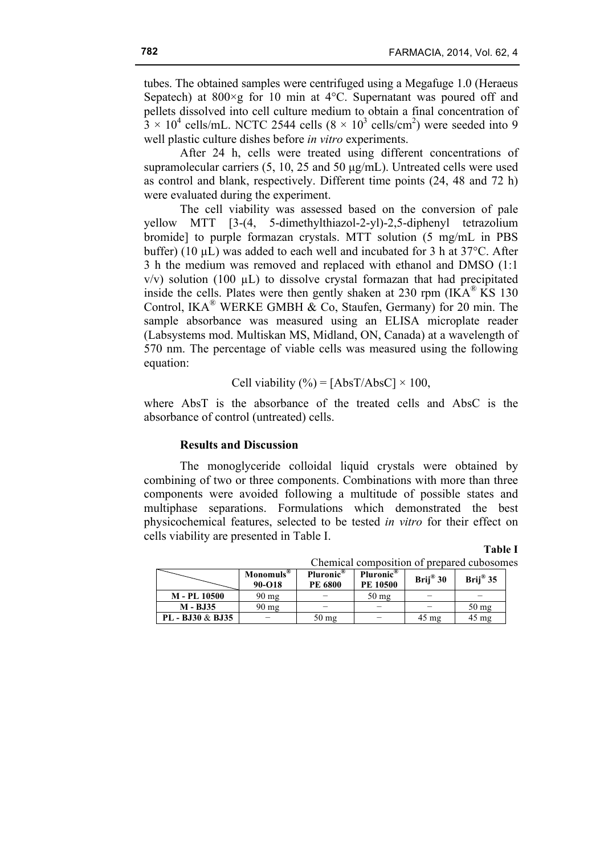tubes. The obtained samples were centrifuged using a Megafuge 1.0 (Heraeus Sepatech) at  $800 \times g$  for 10 min at 4°C. Supernatant was poured off and pellets dissolved into cell culture medium to obtain a final concentration of  $3 \times 10^4$  cells/mL. NCTC 2544 cells  $(8 \times 10^3 \text{ cells/cm}^2)$  were seeded into 9 well plastic culture dishes before *in vitro* experiments.

After 24 h, cells were treated using different concentrations of supramolecular carriers (5, 10, 25 and 50 µg/mL). Untreated cells were used as control and blank, respectively. Different time points (24, 48 and 72 h) were evaluated during the experiment.

The cell viability was assessed based on the conversion of pale yellow MTT [3-(4, 5-dimethylthiazol-2-yl)-2,5-diphenyl tetrazolium bromide] to purple formazan crystals. MTT solution (5 mg/mL in PBS buffer) (10 µL) was added to each well and incubated for 3 h at 37°C. After 3 h the medium was removed and replaced with ethanol and DMSO (1:1  $v/v$ ) solution (100  $\mu$ L) to dissolve crystal formazan that had precipitated inside the cells. Plates were then gently shaken at 230 rpm  $(IKA^{\omega} KS 130)$ Control, IKA<sup>®</sup> WERKE GMBH & Co, Staufen, Germany) for 20 min. The sample absorbance was measured using an ELISA microplate reader (Labsystems mod. Multiskan MS, Midland, ON, Canada) at a wavelength of 570 nm. The percentage of viable cells was measured using the following equation:

Cell viability (
$$
\degree
$$
) = [AbsT/AbsC] × 100,

where AbsT is the absorbance of the treated cells and AbsC is the absorbance of control (untreated) cells.

### **Results and Discussion**

The monoglyceride colloidal liquid crystals were obtained by combining of two or three components. Combinations with more than three components were avoided following a multitude of possible states and multiphase separations. Formulations which demonstrated the best physicochemical features, selected to be tested *in vitro* for their effect on cells viability are presented in Table I.

# **Table I**

| Chemical composition of prepared cubosomes |                                 |                                  |                                          |                 |                    |  |  |  |  |
|--------------------------------------------|---------------------------------|----------------------------------|------------------------------------------|-----------------|--------------------|--|--|--|--|
|                                            | Monomuls <sup>®</sup><br>90-O18 | Pluronic <sup>®</sup><br>PE 6800 | Pluronic <sup>®</sup><br><b>PE 10500</b> | Brij® 30        | Brij $^{\circ}$ 35 |  |  |  |  |
| M - PL 10500                               | $90 \text{ mg}$                 |                                  | $50 \text{ mg}$                          |                 |                    |  |  |  |  |
| M - BJ35                                   | $90 \text{ mg}$                 |                                  |                                          |                 | $50$ mg            |  |  |  |  |
| PL - BJ30 & BJ35                           |                                 | $50 \text{ mg}$                  |                                          | $45 \text{ mg}$ | $45 \text{ mg}$    |  |  |  |  |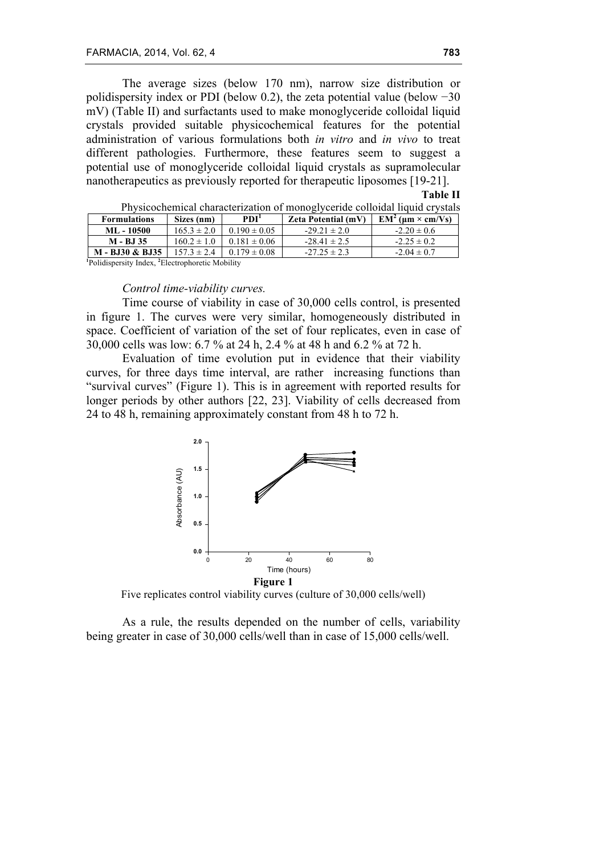The average sizes (below 170 nm), narrow size distribution or polidispersity index or PDI (below 0.2), the zeta potential value (below −30 mV) (Table II) and surfactants used to make monoglyceride colloidal liquid crystals provided suitable physicochemical features for the potential administration of various formulations both *in vitro* and *in vivo* to treat different pathologies. Furthermore, these features seem to suggest a potential use of monoglyceride colloidal liquid crystals as supramolecular nanotherapeutics as previously reported for therapeutic liposomes [19-21].

**Table II**

| Thysicochemical enarable reaction of monogryceriae conoraal infara erystal |                 |                                  |                            |                           |  |  |  |  |
|----------------------------------------------------------------------------|-----------------|----------------------------------|----------------------------|---------------------------|--|--|--|--|
| <b>Formulations</b>                                                        | Sizes (nm)      | PDI <sup>1</sup>                 | <b>Zeta Potential (mV)</b> | $EM^2$ ( $\mu$ m × cm/Vs) |  |  |  |  |
| ML - 10500                                                                 | $165.3 \pm 2.0$ | $0.190 \pm 0.05$                 | $-29.21 \pm 2.0$           | $-2.20 \pm 0.6$           |  |  |  |  |
| M - BJ 35                                                                  |                 | $160.2 \pm 1.0$ 0.181 $\pm$ 0.06 | $-28.41 \pm 2.5$           | $-2.25 \pm 0.2$           |  |  |  |  |
| M - BJ30 & BJ35                                                            | $157.3 \pm 2.4$ | $0.179 \pm 0.08$                 | $-27.25 \pm 2.3$           | $-2.04 \pm 0.7$           |  |  |  |  |
|                                                                            |                 |                                  |                            |                           |  |  |  |  |

Physicochemical characterization of monoglyceride colloidal liquid crystals

**1** Polidispersity Index, **<sup>2</sup>** Electrophoretic Mobility

#### *Control time-viability curves.*

Time course of viability in case of 30,000 cells control, is presented in figure 1. The curves were very similar, homogeneously distributed in space. Coefficient of variation of the set of four replicates, even in case of 30,000 cells was low: 6.7 % at 24 h, 2.4 % at 48 h and 6.2 % at 72 h.

Evaluation of time evolution put in evidence that their viability curves, for three days time interval, are rather increasing functions than "survival curves" (Figure 1). This is in agreement with reported results for longer periods by other authors [22, 23]. Viability of cells decreased from 24 to 48 h, remaining approximately constant from 48 h to 72 h.



Five replicates control viability curves (culture of 30,000 cells/well)

As a rule, the results depended on the number of cells, variability being greater in case of 30,000 cells/well than in case of 15,000 cells/well.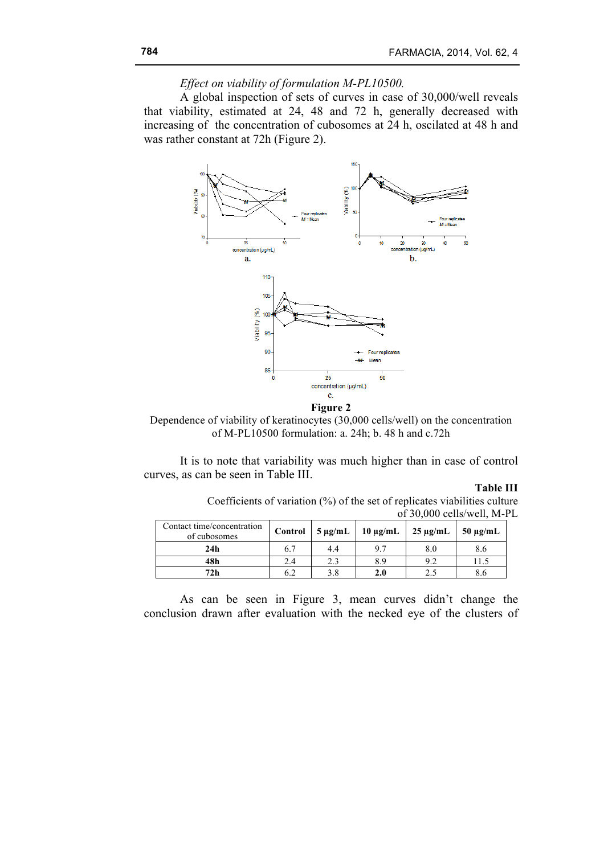# *Effect on viability of formulation M-PL10500.*

A global inspection of sets of curves in case of 30,000/well reveals that viability, estimated at 24, 48 and 72 h, generally decreased with increasing of the concentration of cubosomes at 24 h, oscilated at 48 h and was rather constant at 72h (Figure 2).



Dependence of viability of keratinocytes (30,000 cells/well) on the concentration of M-PL10500 formulation: a. 24h; b. 48 h and c.72h

It is to note that variability was much higher than in case of control curves, as can be seen in Table III.

### **Table III**

Coefficients of variation (%) of the set of replicates viabilities culture of 30,000 cells/well, M-PL

| Contact time/concentration<br>of cubosomes |     |         | Control   $5 \mu g/mL$   $10 \mu g/mL$   $25 \mu g/mL$   $50 \mu g/mL$ |     |
|--------------------------------------------|-----|---------|------------------------------------------------------------------------|-----|
| 24h                                        | 4.4 | 97      | 8.0                                                                    | 8.6 |
| 48h                                        |     | 8.9     | o 2                                                                    |     |
| 72h                                        |     | $2.0\,$ |                                                                        |     |

As can be seen in Figure 3, mean curves didn't change the conclusion drawn after evaluation with the necked eye of the clusters of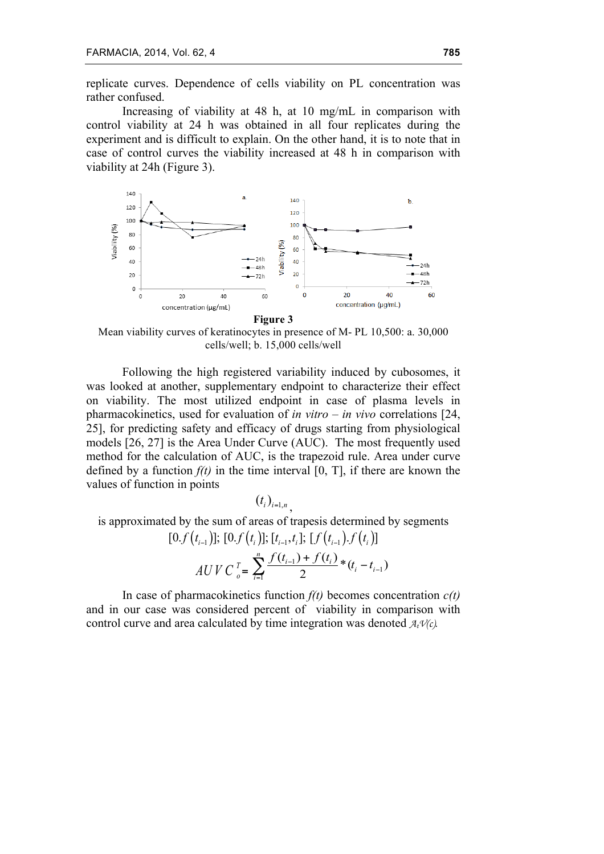replicate curves. Dependence of cells viability on PL concentration was rather confused.

Increasing of viability at 48 h, at 10 mg/mL in comparison with control viability at 24 h was obtained in all four replicates during the experiment and is difficult to explain. On the other hand, it is to note that in case of control curves the viability increased at 48 h in comparison with viability at 24h (Figure 3).



Mean viability curves of keratinocytes in presence of M- PL 10,500: a. 30,000 cells/well; b. 15,000 cells/well

Following the high registered variability induced by cubosomes, it was looked at another, supplementary endpoint to characterize their effect on viability. The most utilized endpoint in case of plasma levels in pharmacokinetics, used for evaluation of *in vitro – in vivo* correlations [24, 25], for predicting safety and efficacy of drugs starting from physiological models [26, 27] is the Area Under Curve (AUC). The most frequently used method for the calculation of AUC, is the trapezoid rule. Area under curve defined by a function  $f(t)$  in the time interval [0, T], if there are known the values of function in points

 $(t_i)_{i=1, n}$ 

is approximated by the sum of areas of trapesis determined by segments  $[0. f(t_{i-1})]; [0. f(t_i)]; [t_{i-1}, t_i]; [f(t_{i-1}), f(t_i)]$  $AUVC_{o}^{T} = \sum_{i=1}^{J} \frac{V(t_{i-1}) + V(t_{i})}{2} * (t_{i} - t_{i-1})$  $\sum_{i=1}^{n} \frac{f(t_{i-1}) + f(t_i)}{2} * (t_i - t_{i-1})$ *i*  $\frac{f(t_{i-1}) + f(t_i)}{2} * (t_i - t_{i-1})$  $\sum_{i=1}^n \frac{f(t_{i-1}) + f(t_i)}{2} * (t_i -$ 

In case of pharmacokinetics function  $f(t)$  becomes concentration  $c(t)$ and in our case was considered percent of viability in comparison with control curve and area calculated by time integration was denoted  $A_t V(c)$ .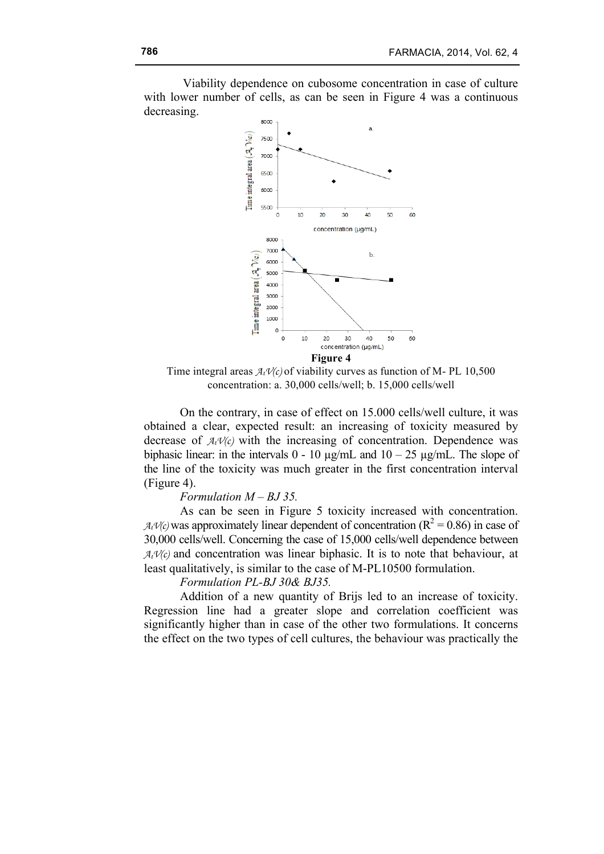Viability dependence on cubosome concentration in case of culture with lower number of cells, as can be seen in Figure 4 was a continuous decreasing.



Time integral areas  $A_t V(c)$  of viability curves as function of M-PL 10,500 concentration: a. 30,000 cells/well; b. 15,000 cells/well

On the contrary, in case of effect on 15.000 cells/well culture, it was obtained a clear, expected result: an increasing of toxicity measured by decrease of  $A_t V(c)$  with the increasing of concentration. Dependence was biphasic linear: in the intervals  $0 - 10 \mu g/mL$  and  $10 - 25 \mu g/mL$ . The slope of the line of the toxicity was much greater in the first concentration interval (Figure 4).

*Formulation M – BJ 35.*

As can be seen in Figure 5 toxicity increased with concentration.  $A_t V(c)$  was approximately linear dependent of concentration ( $R^2 = 0.86$ ) in case of 30,000 cells/well. Concerning the case of 15,000 cells/well dependence between  $A_t$  $V(c)$  and concentration was linear biphasic. It is to note that behaviour, at least qualitatively, is similar to the case of M-PL10500 formulation.

*Formulation PL-BJ 30& BJ35.* 

Addition of a new quantity of Brijs led to an increase of toxicity. Regression line had a greater slope and correlation coefficient was significantly higher than in case of the other two formulations. It concerns the effect on the two types of cell cultures, the behaviour was practically the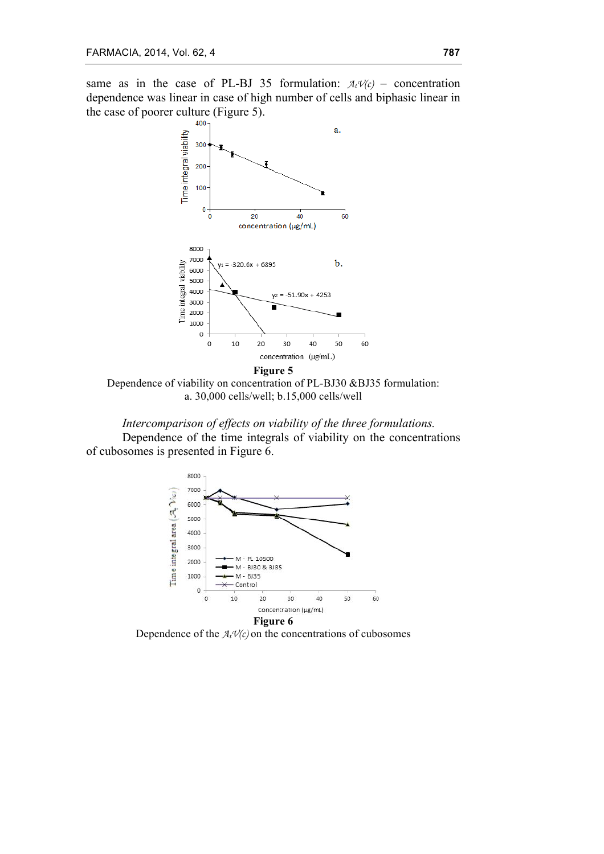same as in the case of PL-BJ 35 formulation:  $A_t V(c)$  – concentration dependence was linear in case of high number of cells and biphasic linear in the case of poorer culture (Figure 5).



Dependence of viability on concentration of PL-BJ30 &BJ35 formulation: a. 30,000 cells/well; b.15,000 cells/well

*Intercomparison of effects on viability of the three formulations.* Dependence of the time integrals of viability on the concentrations of cubosomes is presented in Figure 6.



Dependence of the  $A_t V(c)$  on the concentrations of cubosomes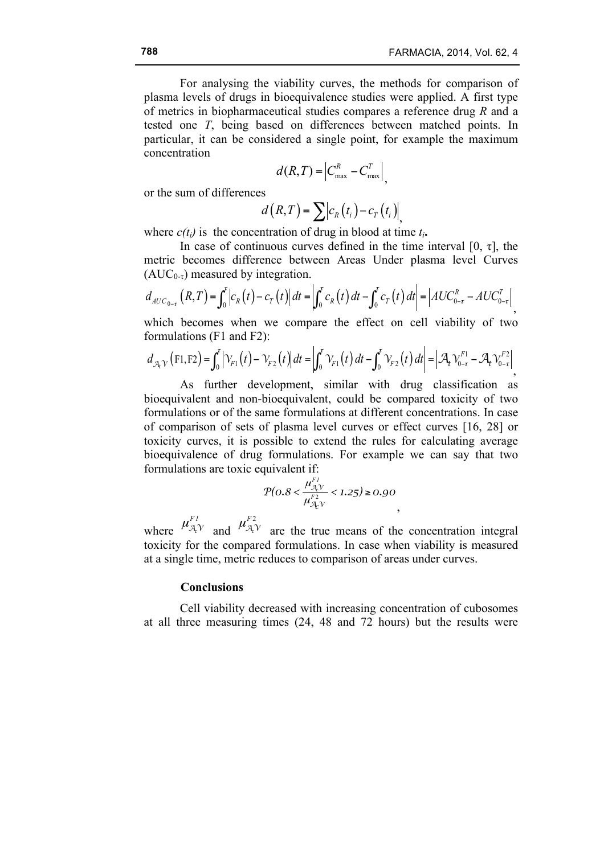For analysing the viability curves, the methods for comparison of plasma levels of drugs in bioequivalence studies were applied. A first type of metrics in biopharmaceutical studies compares a reference drug *R* and a tested one *T*, being based on differences between matched points. In particular, it can be considered a single point, for example the maximum concentration

$$
d(R,T) = \left|C_{\text{max}}^R - C_{\text{max}}^T\right|,
$$

or the sum of differences

$$
d(R,T) = \sum c_R(t_i) - c_T(t_i) \Big|_{t_i}
$$

where  $c(t_i)$  is the concentration of drug in blood at time  $t_i$ .

In case of continuous curves defined in the time interval [0,  $\tau$ ], the metric becomes difference between Areas Under plasma level Curves  $(AUC_{0-\tau})$  measured by integration.

$$
d_{AUC_{0-\tau}}(R,T) = \int_0^{\tau} \left| c_R(t) - c_T(t) \right| dt = \left| \int_0^{\tau} c_R(t) dt - \int_0^{\tau} c_T(t) dt \right| = \left| AUC_{0-\tau}^R - AUC_{0-\tau}^T \right|,
$$

which becomes when we compare the effect on cell viability of two formulations (F1 and F2):

$$
d_{\mathcal{A}_t \mathcal{V}}(F1, F2) = \int_0^t \left| \mathcal{V}_{F1}(t) - \mathcal{V}_{F2}(t) \right| dt = \left| \int_0^t \mathcal{V}_{F1}(t) dt - \int_0^t \mathcal{V}_{F2}(t) dt \right| = \left| \mathcal{A}_t \mathcal{V}_{0-\tau}^{F1} - \mathcal{A}_t \mathcal{V}_{0-\tau}^{F2} \right|,
$$

As further development, similar with drug classification as bioequivalent and non-bioequivalent, could be compared toxicity of two formulations or of the same formulations at different concentrations. In case of comparison of sets of plasma level curves or effect curves [16, 28] or toxicity curves, it is possible to extend the rules for calculating average bioequivalence of drug formulations. For example we can say that two formulations are toxic equivalent if:

$$
P(0.8 < \frac{\mu_{\mathcal{A}\mathcal{V}}^{F_1}}{\mu_{\mathcal{A}\mathcal{V}}^{F_2}} < 1.25 \ge 0.90
$$

where  $\mu_{\mathcal{A},V}^{F1}$  and  $\mu_{\mathcal{A},V}^{F2}$  are the true means of the concentration integral toxicity for the compared formulations. In case when viability is measured at a single time, metric reduces to comparison of areas under curves.

# **Conclusions**

Cell viability decreased with increasing concentration of cubosomes at all three measuring times (24, 48 and 72 hours) but the results were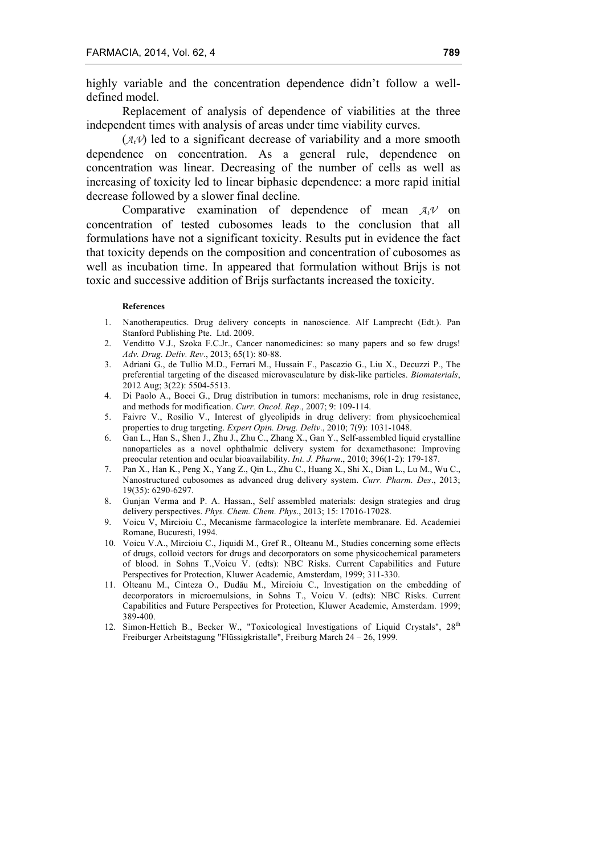highly variable and the concentration dependence didn't follow a welldefined model.

Replacement of analysis of dependence of viabilities at the three independent times with analysis of areas under time viability curves.

 $(A_t V)$  led to a significant decrease of variability and a more smooth dependence on concentration. As a general rule, dependence on concentration was linear. Decreasing of the number of cells as well as increasing of toxicity led to linear biphasic dependence: a more rapid initial decrease followed by a slower final decline.

Comparative examination of dependence of mean  $A_t \mathcal{V}$  on concentration of tested cubosomes leads to the conclusion that all formulations have not a significant toxicity. Results put in evidence the fact that toxicity depends on the composition and concentration of cubosomes as well as incubation time. In appeared that formulation without Brijs is not toxic and successive addition of Brijs surfactants increased the toxicity.

#### **References**

- 1. Nanotherapeutics. Drug delivery concepts in nanoscience. Alf Lamprecht (Edt.). Pan Stanford Publishing Pte. Ltd. 2009.
- 2. Venditto V.J., Szoka F.C.Jr., Cancer nanomedicines: so many papers and so few drugs! *Adv. Drug. Deliv. Rev*., 2013; 65(1): 80-88.
- 3. Adriani G., de Tullio M.D., Ferrari M., Hussain F., Pascazio G., Liu X., Decuzzi P., The preferential targeting of the diseased microvasculature by disk-like particles. *Biomaterials*, 2012 Aug; 3(22): 5504-5513.
- 4. Di Paolo A., Bocci G., Drug distribution in tumors: mechanisms, role in drug resistance, and methods for modification. *Curr. Oncol. Rep*., 2007; 9: 109-114.
- 5. Faivre V., Rosilio V., Interest of glycolipids in drug delivery: from physicochemical properties to drug targeting. *Expert Opin. Drug. Deliv*., 2010; 7(9): 1031-1048.
- 6. Gan L., Han S., Shen J., Zhu J., Zhu C., Zhang X., Gan Y., Self-assembled liquid crystalline nanoparticles as a novel ophthalmic delivery system for dexamethasone: Improving preocular retention and ocular bioavailability. *Int. J. Pharm*., 2010; 396(1-2): 179-187.
- 7. Pan X., Han K., Peng X., Yang Z., Qin L., Zhu C., Huang X., Shi X., Dian L., Lu M., Wu C., Nanostructured cubosomes as advanced drug delivery system. *Curr. Pharm. Des*., 2013; 19(35): 6290-6297.
- 8. Gunjan Verma and P. A. Hassan., Self assembled materials: design strategies and drug delivery perspectives. *Phys. Chem. Chem. Phys*., 2013; 15: 17016-17028.
- 9. Voicu V, Mircioiu C., Mecanisme farmacologice la interfete membranare. Ed. Academiei Romane, Bucuresti, 1994.
- 10. Voicu V.A., Mircioiu C., Jiquidi M., Gref R., Olteanu M., Studies concerning some effects of drugs, colloid vectors for drugs and decorporators on some physicochemical parameters of blood. in Sohns T.,Voicu V. (edts): NBC Risks. Current Capabilities and Future Perspectives for Protection, Kluwer Academic, Amsterdam, 1999; 311-330.
- 11. Olteanu M., Cinteza O., Dudău M., Mircioiu C., Investigation on the embedding of decorporators in microemulsions, in Sohns T., Voicu V. (edts): NBC Risks. Current Capabilities and Future Perspectives for Protection, Kluwer Academic, Amsterdam. 1999; 389-400.
- 12. Simon-Hettich B., Becker W., "Toxicological Investigations of Liquid Crystals", 28<sup>th</sup> Freiburger Arbeitstagung "Flüssigkristalle", Freiburg March 24 – 26, 1999.